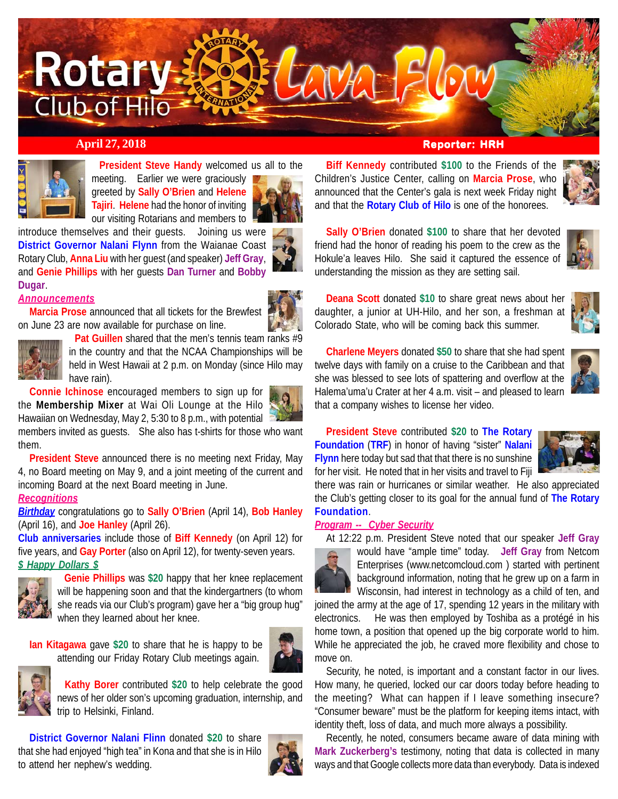

# **April 27, 2018 Reporter: HRH**



 **President Steve Handy** welcomed us all to the meeting. Earlier we were graciously greeted by **Sally O'Brien** and **Helene Tajiri**. **Helene** had the honor of inviting

our visiting Rotarians and members to



introduce themselves and their guests. Joining us were **District Governor Nalani Flynn** from the Waianae Coast Rotary Club, **Anna Liu** with her guest (and speaker) **Jeff Gray**, and **Genie Phillips** with her guests **Dan Turner** and **Bobby Dugar**.

#### *Announcements*

**Marcia Prose** announced that all tickets for the Brewfest on June 23 are now available for purchase on line.



 **Pat Guillen** shared that the men's tennis team ranks #9 in the country and that the NCAA Championships will be held in West Hawaii at 2 p.m. on Monday (since Hilo may have rain).

**Connie Ichinose** encouraged members to sign up for the **Membership Mixer** at Wai Oli Lounge at the Hilo Hawaiian on Wednesday, May 2, 5:30 to 8 p.m., with potential

members invited as guests. She also has t-shirts for those who want them.

**President Steve** announced there is no meeting next Friday, May 4, no Board meeting on May 9, and a joint meeting of the current and incoming Board at the next Board meeting in June.

# *Recognitions*

*Birthday* congratulations go to **Sally O'Brien** (April 14), **Bob Hanley** (April 16), and **Joe Hanley** (April 26).

**Club anniversaries** include those of **Biff Kennedy** (on April 12) for five years, and **Gay Porter** (also on April 12), for twenty-seven years. *\$ Happy Dollars \$*



 **Genie Phillips** was **\$20** happy that her knee replacement will be happening soon and that the kindergartners (to whom she reads via our Club's program) gave her a "big group hug" when they learned about her knee.

**Ian Kitagawa** gave **\$20** to share that he is happy to be attending our Friday Rotary Club meetings again.





 **Kathy Borer** contributed **\$20** to help celebrate the good news of her older son's upcoming graduation, internship, and trip to Helsinki, Finland.

**District Governor Nalani Flinn** donated **\$20** to share that she had enjoyed "high tea" in Kona and that she is in Hilo to attend her nephew's wedding.



**Biff Kennedy** contributed **\$100** to the Friends of the Children's Justice Center, calling on **Marcia Prose**, who announced that the Center's gala is next week Friday night and that the **Rotary Club of Hilo** is one of the honorees.

**Sally O'Brien** donated **\$100** to share that her devoted friend had the honor of reading his poem to the crew as the Hokule'a leaves Hilo. She said it captured the essence of understanding the mission as they are setting sail.

**Deana Scott** donated **\$10** to share great news about her daughter, a junior at UH-Hilo, and her son, a freshman at Colorado State, who will be coming back this summer.



**Charlene Meyers** donated **\$50** to share that she had spent twelve days with family on a cruise to the Caribbean and that she was blessed to see lots of spattering and overflow at the Halema'uma'u Crater at her 4 a.m. visit – and pleased to learn that a company wishes to license her video.

**President Steve** contributed **\$20** to **The Rotary Foundation** (**TRF**) in honor of having "sister" **Nalani Flynn** here today but sad that that there is no sunshine for her visit. He noted that in her visits and travel to Fiji



there was rain or hurricanes or similar weather. He also appreciated the Club's getting closer to its goal for the annual fund of **The Rotary Foundation**.

#### *Program -- Cyber Security*

At 12:22 p.m. President Steve noted that our speaker **Jeff Gray**



would have "ample time" today. **Jeff Gray** from Netcom Enterprises (www.netcomcloud.com ) started with pertinent background information, noting that he grew up on a farm in Wisconsin, had interest in technology as a child of ten, and

joined the army at the age of 17, spending 12 years in the military with electronics. He was then employed by Toshiba as a protégé in his home town, a position that opened up the big corporate world to him. While he appreciated the job, he craved more flexibility and chose to move on.

Security, he noted, is important and a constant factor in our lives. How many, he queried, locked our car doors today before heading to the meeting? What can happen if I leave something insecure? "Consumer beware" must be the platform for keeping items intact, with identity theft, loss of data, and much more always a possibility.

Recently, he noted, consumers became aware of data mining with **Mark Zuckerberg's** testimony, noting that data is collected in many ways and that Google collects more data than everybody. Data is indexed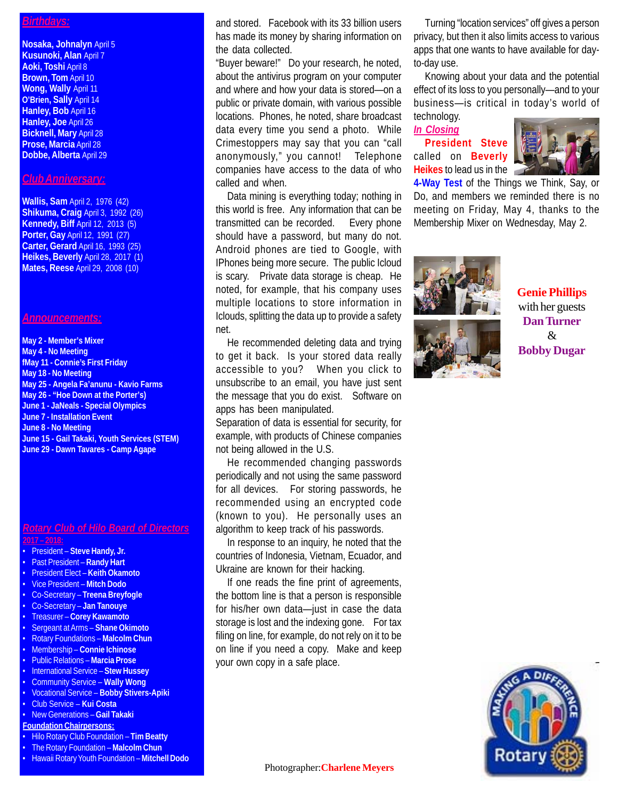#### *Birthdays:*

**Nosaka, Johnalyn** April 5 **Kusunoki, Alan** April 7 **Aoki, Toshi** April 8 **Brown, Tom** April 10 **Wong, Wally** April 11 **O'Brien, Sally** April 14 **Hanley, Bob** April 16 **Hanley, Joe** April 26 **Bicknell, Mary** April 28 **Prose, Marcia** April 28 **Dobbe, Alberta** April 29

### *Club Anniversary:*

**Wallis, Sam** April 2, 1976 (42) **Shikuma, Craig** April 3, 1992 (26) **Kennedy, Biff** April 12, 2013 (5) **Porter, Gay** April 12, 1991 (27) **Carter, Gerard** April 16, 1993 (25) **Heikes, Beverly** April 28, 2017 (1) **Mates, Reese** April 29, 2008 (10)

#### *Announcements:*

**May 2 - Member's Mixer May 4 - No Meeting fMay 11 - Connie's First Friday May 18 - No Meeting May 25 - Angela Fa'anunu - Kavio Farms May 26 - "Hoe Down at the Porter's) June 1 - JaNeals - Special Olympics June 7 - Installation Event June 8 - No Meeting June 15 - Gail Takaki, Youth Services (STEM) June 29 - Dawn Tavares - Camp Agape**

#### *Rotary Club of Hilo Board of Directors* **2017 – 2018:**

- President **Steve Handy, Jr.**
- Past President **Randy Hart**
- President Elect **Keith Okamoto**
- Vice President **Mitch Dodo**
- Co-Secretary **Treena Breyfogle**
- Co-Secretary **Jan Tanouye**
- Treasurer **Corey Kawamoto**
- Sergeant at Arms **Shane Okimoto**
- Rotary Foundations **Malcolm Chun**
- Membership **Connie Ichinose**
- Public Relations **Marcia Prose**
- International Service **Stew Hussey**
- Community Service **Wally Wong**
- Vocational Service **Bobby Stivers-Apiki**
- Club Service **Kui Costa**
- New Generations **Gail Takaki**
- **Foundation Chairpersons:**
- Hilo Rotary Club Foundation **Tim Beatty**
- The Rotary Foundation **Malcolm Chun**
- Hawaii Rotary Youth Foundation **Mitchell Dodo**

and stored. Facebook with its 33 billion users has made its money by sharing information on the data collected.

"Buyer beware!" Do your research, he noted, about the antivirus program on your computer and where and how your data is stored—on a public or private domain, with various possible locations. Phones, he noted, share broadcast data every time you send a photo. While Crimestoppers may say that you can "call anonymously," you cannot! Telephone companies have access to the data of who called and when.

Data mining is everything today; nothing in this world is free. Any information that can be transmitted can be recorded. Every phone should have a password, but many do not. Android phones are tied to Google, with IPhones being more secure. The public Icloud is scary. Private data storage is cheap. He noted, for example, that his company uses multiple locations to store information in Iclouds, splitting the data up to provide a safety net.

He recommended deleting data and trying to get it back. Is your stored data really accessible to you? When you click to unsubscribe to an email, you have just sent the message that you do exist. Software on apps has been manipulated.

Separation of data is essential for security, for example, with products of Chinese companies not being allowed in the U.S.

He recommended changing passwords periodically and not using the same password for all devices. For storing passwords, he recommended using an encrypted code (known to you). He personally uses an algorithm to keep track of his passwords.

In response to an inquiry, he noted that the countries of Indonesia, Vietnam, Ecuador, and Ukraine are known for their hacking.

If one reads the fine print of agreements, the bottom line is that a person is responsible for his/her own data—just in case the data storage is lost and the indexing gone. For tax filing on line, for example, do not rely on it to be on line if you need a copy. Make and keep your own copy in a safe place.

Turning "location services" off gives a person privacy, but then it also limits access to various apps that one wants to have available for dayto-day use.

Knowing about your data and the potential effect of its loss to you personally—and to your business—is critical in today's world of technology.

# *In Closing*

**President Steve** called on **Beverly Heikes** to lead us in the



**4-Way Test** of the Things we Think, Say, or Do, and members we reminded there is no meeting on Friday, May 4, thanks to the Membership Mixer on Wednesday, May 2.



**Genie Phillips** with her guests **Dan Turner** & **Bobby Dugar**